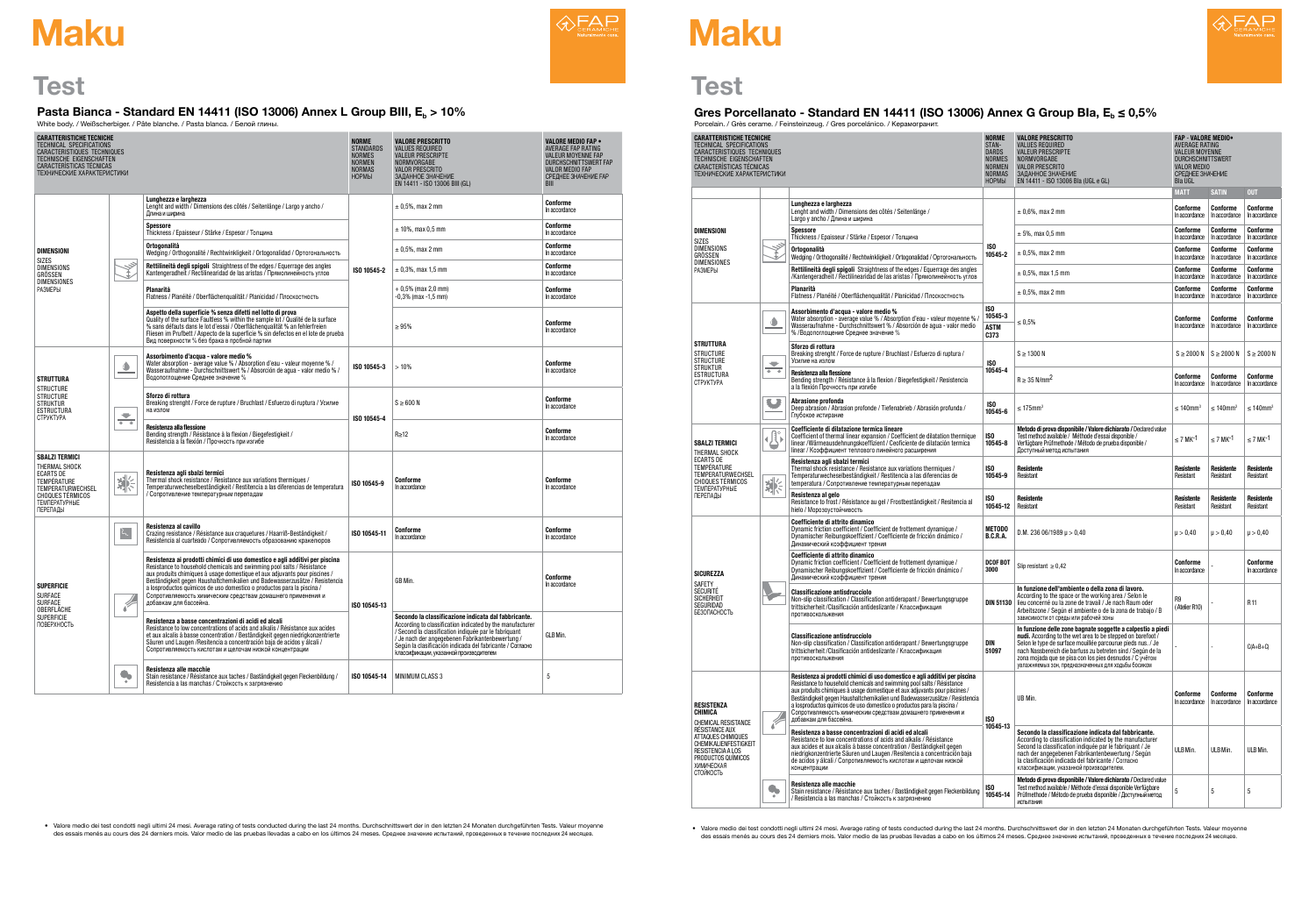

# **Maku Maku**

## **Test**

| Pasta Bianca - Standard EN 14411 (ISO 13006) Annex L Group BIII, E <sub>b</sub> > 10%<br>White body. / Weißscherbiger. / Pâte blanche. / Pasta blanca. / Белой глины. |                                  |                                             |
|-----------------------------------------------------------------------------------------------------------------------------------------------------------------------|----------------------------------|---------------------------------------------|
| <b>CARATTERISTICHE TECNICHE</b><br><b>TECHNICAL SPECIFICATIONS</b>                                                                                                    | <b>NORME</b><br><b>STANDARDS</b> | <b>VALORE PRESCRITTO</b><br>VALUES REQUIRED |

## Gres Porcellanato - Standard EN 14411 (ISO 13006) Annex G Group Bla,  $E_b \le 0.5\%$ Porcelain. / Grès cerame. / Feinsteinzeug. / Gres porcelánico. / Керамогранит.

| <b>CARATTERISTICHE TECNICHE</b><br>TECHNICAL SPECIFICATIONS<br>CARACTERISTIQUES TECHNIQUES<br>TECHNISCHE EIGENSCHAFTEN<br>CARACTERÍSTICAS TÉCNICAS<br>ТЕХНИЧЕСКИЕ ХАРАКТЕРИСТИКИ |                        |                                                                                                                                                                                                                                                                                                                                                                                                                                                                                        | <b>NORME</b><br><b>STANDARDS</b><br><b>NORMES</b><br><b>NORMEN</b><br><b>NORMAS</b><br><b>НОРМЫ</b> | <b>VALORE PRESCRITTO</b><br><b>VALUES REQUIRED</b><br><b>VALEUR PRESCRIPTE</b><br>NORMVORGABE<br><b>VALOR PRESCRITO</b><br>ЗАДАННОЕ ЗНАЧЕНИЕ<br>EN 14411 - ISO 13006 BIII (GL)                                                                                                                                                         | <b>VALORE MEDIO FAP .</b><br>AVERAGE FAP RATING<br><b>VALEUR MOYENNE FAP</b><br><b>DURCHSCHNITTSWERT FAP</b><br>VALOR MEDIO FAP<br>СРЕДНЕЕ ЗНАЧЕНИЕ FAP<br><b>BIII</b> |
|----------------------------------------------------------------------------------------------------------------------------------------------------------------------------------|------------------------|----------------------------------------------------------------------------------------------------------------------------------------------------------------------------------------------------------------------------------------------------------------------------------------------------------------------------------------------------------------------------------------------------------------------------------------------------------------------------------------|-----------------------------------------------------------------------------------------------------|----------------------------------------------------------------------------------------------------------------------------------------------------------------------------------------------------------------------------------------------------------------------------------------------------------------------------------------|------------------------------------------------------------------------------------------------------------------------------------------------------------------------|
|                                                                                                                                                                                  |                        | Lunghezza e larghezza<br>Lenght and width / Dimensions des côtés / Seitenlänge / Largo y ancho /<br>Длина и ширина                                                                                                                                                                                                                                                                                                                                                                     | ISO 10545-2                                                                                         | $± 0,5%$ , max 2 mm                                                                                                                                                                                                                                                                                                                    | Conforme<br>In accordance                                                                                                                                              |
|                                                                                                                                                                                  |                        | <b>Spessore</b><br>Thickness / Epaisseur / Stärke / Espesor / Толщина                                                                                                                                                                                                                                                                                                                                                                                                                  |                                                                                                     | $\pm$ 10%, max 0.5 mm                                                                                                                                                                                                                                                                                                                  | Conforme<br>In accordance                                                                                                                                              |
| <b>DIMENSIONI</b><br><b>SIZES</b>                                                                                                                                                |                        | Ortogonalità<br>Wedging / Orthogonalité / Rechtwinkligkeit / Ortogonalidad / Ортогональность                                                                                                                                                                                                                                                                                                                                                                                           |                                                                                                     | $± 0,5%$ , max 2 mm                                                                                                                                                                                                                                                                                                                    | Conforme<br>In accordance                                                                                                                                              |
| <b>DIMENSIONS</b><br>GRÖSSEN                                                                                                                                                     |                        | Rettilineità degli spigoli Straightness of the edges / Equerrage des angles<br>Kantengeradheit / Rectilinearidad de las aristas / Прямолинейность углов                                                                                                                                                                                                                                                                                                                                |                                                                                                     | $\pm$ 0,3%, max 1,5 mm                                                                                                                                                                                                                                                                                                                 | Conforme<br>In accordance                                                                                                                                              |
| <b>DIMENSIONES</b><br><b>РАЗМЕРЫ</b>                                                                                                                                             |                        | Planarità<br>Flatness / Planéité / Oberflächenqualität / Planicidad / Плоскостность                                                                                                                                                                                                                                                                                                                                                                                                    |                                                                                                     | $+0.5\%$ (max 2.0 mm)<br>-0,3% (max -1,5 mm)                                                                                                                                                                                                                                                                                           | Conforme<br>In accordance                                                                                                                                              |
|                                                                                                                                                                                  |                        | Aspetto della superficie % senza difetti nel lotto di prova<br>Quality of the surface Faultless % within the sample lot / Qualité de la surface<br>% sans défauts dans le lot d'essai / Oberflächenqualität % an fehlerfreien<br>Fliesen im Prufbett / Aspecto de la superficie % sin defectos en el lote de prueba<br>Вид поверхности % без брака в пробной партии                                                                                                                    |                                                                                                     | $\geq 95\%$                                                                                                                                                                                                                                                                                                                            | Conforme<br>In accordance                                                                                                                                              |
| <b>STRUTTURA</b>                                                                                                                                                                 | $\bullet$              | Assorbimento d'acqua - valore medio %<br>Water absorption - average value % / Absorption d'eau - valeur moyenne % /<br>Wasseraufnahme - Durchschnittswert % / Absorción de aqua - valor medio % /<br>Водопоглощение Среднее значение %                                                                                                                                                                                                                                                 | ISO 10545-3                                                                                         | >10%                                                                                                                                                                                                                                                                                                                                   | Conforme<br>In accordance                                                                                                                                              |
| <b>STRUCTURE</b><br><b>STRUCTURE</b><br><b>STRUKTUR</b><br><b>ESTRUCTURA</b><br><b>CTPYKTYPA</b>                                                                                 | ◡<br>$+ - +$           | Sforzo di rottura<br>Breaking strenght / Force de rupture / Bruchlast / Esfuerzo di ruptura / Усилие<br>на излом                                                                                                                                                                                                                                                                                                                                                                       | ISO 10545-4                                                                                         | $S \geq 600 N$                                                                                                                                                                                                                                                                                                                         | Conforme<br>In accordance                                                                                                                                              |
|                                                                                                                                                                                  |                        | Resistenza alla flessione<br>Bending strength / Résistance à la flexion / Biegefestigkeit /<br>Resistencia a la flexión / Прочность при изгибе                                                                                                                                                                                                                                                                                                                                         |                                                                                                     | $R \geq 12$                                                                                                                                                                                                                                                                                                                            | Conforme<br>In accordance                                                                                                                                              |
| <b>SBALZI TERMICI</b><br>THERMAL SHOCK<br><b>ECARTS DE</b><br>TEMPÉRATURE<br>TEMPERATURWECHSEL<br><b>CHOQUES TÉRMICOS</b><br><b>ТЕМПЕРАТУРНЫЕ</b><br>ПЕРЕПАДЫ                    | 祡                      | Resistenza agli sbalzi termici<br>Thermal shock resistance / Resistance aux variations thermiques /<br>Temperaturwecheselbeständigkeit / Restitencia a las diferencias de temperatura<br>/ Сопротивление температурным перепадам                                                                                                                                                                                                                                                       | ISO 10545-9                                                                                         | Conforme<br>In accordance                                                                                                                                                                                                                                                                                                              | Conforme<br>In accordance                                                                                                                                              |
|                                                                                                                                                                                  | $\zeta$                | Resistenza al cavillo<br>Crazing resistance / Résistance aux craquetures / Haarriß-Beständigkeit /<br>Resistencia al cuarteado / Сопротивляемость образованию кракелюров                                                                                                                                                                                                                                                                                                               | ISO 10545-11                                                                                        | Conforme<br>In accordance                                                                                                                                                                                                                                                                                                              | Conforme<br>In accordance                                                                                                                                              |
| <b>SUPERFICIE</b><br>SURFACE<br><b>SURFACE</b><br>OBERFLACHE                                                                                                                     | 6                      | Resistenza ai prodotti chimici di uso domestico e agli additivi per piscina<br>Resistance to household chemicals and swimming pool salts / Résistance<br>aux produits chimiques à usage domestique et aux adjuvants pour piscines /<br>Beständigkeit gegen Haushaltchemikalien und Badewasserzusätze / Resistencia<br>a losproductos químicos de uso domestico o productos para la piscina /<br>Сопротивляемость химическим средствам домашнего применения и<br>добавкам для бассейна. | ISO 10545-13                                                                                        | GB Min.                                                                                                                                                                                                                                                                                                                                | Conforme<br>In accordance                                                                                                                                              |
| <b>SUPERFICIE</b><br>ПОВЕРХНОСТЬ                                                                                                                                                 |                        | Resistenza a basse concentrazioni di acidi ed alcali<br>Resistance to low concentrations of acids and alkalis / Résistance aux acides<br>et aux alcalis à basse concentration / Beständigkeit gegen niedrigkonzentrierte<br>Säuren und Laugen / Resitencia a concentración baja de acidos y álcali /<br>Сопротивляемость кислотам и щелочам низкой концентрации                                                                                                                        |                                                                                                     | Secondo la classificazione indicata dal fabbricante.<br>According to classification indicated by the manufacturer<br>/ Second la classification indiquée par le fabriquant<br>/ Je nach der angegebenen Fabrikantenbewertung /<br>Según la clasificación indicada del fabricante / Согласно<br>классификации, указанной производителем | GLB Min.                                                                                                                                                               |
|                                                                                                                                                                                  | $\bullet$<br>$\bullet$ | Resistenza alle macchie<br>Stain resistance / Résistance aux taches / Baständigkeit gegen Fleckenbildung /<br>Resistencia a las manchas / Стойкость к загрязнению                                                                                                                                                                                                                                                                                                                      | ISO 10545-14                                                                                        | <b>MINIMUM CLASS 3</b>                                                                                                                                                                                                                                                                                                                 | 5                                                                                                                                                                      |

• Valore medio dei test condotti negli ultimi 24 mesi. Average rating of tests conducted during the last 24 months. Durchschnittswert der in den letzten 24 Monaten durchgeführten Tests. Valeur moyenne des essais menés au cours des 24 derniers mois. Valor medio de las pruebas llevadas a cabo en los últimos 24 meses. Среднее значение испытаний, проведенных в течение последних 24 месяцев.



Test

| <b>CARATTERISTICHE TECNICHE</b><br>TECHNICAL SPECIFICATIONS<br>CARACTERISTIQUES TECHNIQUES<br>TECHNISCHE EIGENSCHAFTEN<br><b>CARACTERISTICAS TÉCNICAS</b><br>ТЕХНИЧЕСКИЕ ХАРАКТЕРИСТИКИ |                          |                                                                                                                                                                                                                                                                                                                                                                                                                                                                                        | <b>NORME</b><br>STAN-<br><b>DARDS</b><br><b>NORMES</b><br><b>NORMEN</b><br><b>NORMAS</b><br><b>НОРМЫ</b> | <b>VALORE PRESCRITTO</b><br><b>VALUES REQUIRED</b><br><b>VALEUR PRESCRIPTE</b><br>NORMVORGABE<br><b>VALOR PRESCRITO</b><br>ЗАДАННОЕ ЗНАЧЕНИЕ<br>EN 14411 - ISO 13006 Bla (UGL e GL)                                                                                                                                                                                         |                            | <b>FAP - VALORE MEDIO</b><br>AVERAGE RATING<br><b>VALEUR MOYENNE</b><br><b>DURCHSCHNITTSWERT</b><br><b>VALOR MEDIO</b><br>СРЕДНЕЕ ЗНАЧЕНИЕ<br><b>Bla UGL</b> |                            |  |
|-----------------------------------------------------------------------------------------------------------------------------------------------------------------------------------------|--------------------------|----------------------------------------------------------------------------------------------------------------------------------------------------------------------------------------------------------------------------------------------------------------------------------------------------------------------------------------------------------------------------------------------------------------------------------------------------------------------------------------|----------------------------------------------------------------------------------------------------------|-----------------------------------------------------------------------------------------------------------------------------------------------------------------------------------------------------------------------------------------------------------------------------------------------------------------------------------------------------------------------------|----------------------------|--------------------------------------------------------------------------------------------------------------------------------------------------------------|----------------------------|--|
|                                                                                                                                                                                         |                          |                                                                                                                                                                                                                                                                                                                                                                                                                                                                                        |                                                                                                          |                                                                                                                                                                                                                                                                                                                                                                             | <b>MATT</b>                | <b>SATIN</b>                                                                                                                                                 | <b>OUT</b>                 |  |
|                                                                                                                                                                                         |                          | Lunghezza e larghezza<br>Lenght and width / Dimensions des côtés / Seitenlänge /<br>Largo у ancho / Длина и ширина                                                                                                                                                                                                                                                                                                                                                                     | ISO<br>10545-2                                                                                           | $\pm$ 0,6%, max 2 mm                                                                                                                                                                                                                                                                                                                                                        | Conforme<br>In accordance  | Conforme<br>In accordance                                                                                                                                    | Conforme<br>In accordance  |  |
| <b>DIMENSIONI</b><br>SIZES                                                                                                                                                              |                          | <b>Spessore</b><br>Thickness / Epaisseur / Stärke / Espesor / Толщина                                                                                                                                                                                                                                                                                                                                                                                                                  |                                                                                                          | $\pm$ 5%, max 0.5 mm                                                                                                                                                                                                                                                                                                                                                        | Conforme<br>In accordance  | Conforme<br>In accordance                                                                                                                                    | Conforme<br>In accordance  |  |
| <b>DIMENSIONS</b><br>GRÖSSEN<br><b>DIMENSIONES</b>                                                                                                                                      |                          | <b>Ortogonalità</b><br>Wedging / Orthogonalité / Rechtwinkligkeit / Ortogonalidad / Ортогональность                                                                                                                                                                                                                                                                                                                                                                                    |                                                                                                          | $± 0,5%$ , max 2 mm                                                                                                                                                                                                                                                                                                                                                         | Conforme<br>In accordance  | Conforme<br>In accordance                                                                                                                                    | Conforme<br>In accordance  |  |
| <b>РАЗМЕРЫ</b>                                                                                                                                                                          |                          | Rettilineità degli spigoli Straightness of the edges / Equerrage des angles<br>/Kantengeradheit / Rectilinearidad de las aristas / Прямолинейность углов                                                                                                                                                                                                                                                                                                                               |                                                                                                          | $\pm$ 0,5%, max 1,5 mm                                                                                                                                                                                                                                                                                                                                                      | Conforme<br>In accordance  | Conforme<br>In accordance                                                                                                                                    | Conforme<br>In accordance  |  |
|                                                                                                                                                                                         |                          | Planarità<br>Flatness / Planéité / Oberflächenqualität / Planicidad / Плоскостность                                                                                                                                                                                                                                                                                                                                                                                                    |                                                                                                          | $\pm$ 0.5%, max 2 mm                                                                                                                                                                                                                                                                                                                                                        | Conforme<br>In accordance  | Conforme<br>In accordance                                                                                                                                    | Conforme<br>In accordance  |  |
|                                                                                                                                                                                         | $\bullet$                | Assorbimento d'acqua - valore medio %<br>Water absorption - average value % / Absorption d'eau - valeur moyenne % /<br>Wasseraufnahme - Durchschnittswert % / Absorción de aqua - valor medio<br>% /Водопоглощение Среднее значение %                                                                                                                                                                                                                                                  | ISO<br>10545-3<br><b>ASTM</b><br>C373                                                                    | $\leq 0.5\%$                                                                                                                                                                                                                                                                                                                                                                | Conforme<br>In accordance  | Conforme<br>In accordance                                                                                                                                    | Conforme<br>In accordance  |  |
| <b>STRUTTURA</b><br><b>STRUCTURE</b><br><b>STRUCTURE</b><br><b>STRUKTUR</b>                                                                                                             | $\overline{\phantom{a}}$ | Sforzo di rottura<br>Breaking strenght / Force de rupture / Bruchlast / Esfuerzo di ruptura /<br>Усилие на излом                                                                                                                                                                                                                                                                                                                                                                       | ISO                                                                                                      | $S \geq 1300 N$                                                                                                                                                                                                                                                                                                                                                             |                            | $S \ge 2000 \text{ N}$   $S \ge 2000 \text{ N}$                                                                                                              | $S \geq 2000 N$            |  |
| <b>ESTRUCTURA</b><br><b>СТРУКТУРА</b>                                                                                                                                                   | 金金                       | Resistenza alla flessione<br>Bending strength / Résistance à la flexion / Biegefestigkeit / Resistencia<br>a la flexión Прочность при изгибе                                                                                                                                                                                                                                                                                                                                           | 10545-4                                                                                                  | $R \geq 35$ N/mm <sup>2</sup>                                                                                                                                                                                                                                                                                                                                               | Conforme<br>In accordance  | Conforme<br>In accordance                                                                                                                                    | Conforme<br>In accordance  |  |
|                                                                                                                                                                                         | E D                      | Abrasione profonda<br>Deep abrasion / Abrasion profonde / Tiefenabrieb / Abrasión profunda /<br>Глубокое истирание                                                                                                                                                                                                                                                                                                                                                                     | ISO<br>10545-6                                                                                           | $\leq$ 175mm <sup>3</sup>                                                                                                                                                                                                                                                                                                                                                   | $\leq 140$ mm <sup>3</sup> | $\leq 140$ mm <sup>3</sup>                                                                                                                                   | $\leq 140$ mm <sup>3</sup> |  |
| <b>SBALZI TERMICI</b><br>THERMAL SHOCK                                                                                                                                                  | A۰<br>≮共り<br>۳           | Coefficiente di dilatazione termica lineare<br>Coefficient of thermal linear expansion / Coefficient de dilatation thermique<br>linear /Wärmeausdehnungskoeffizient / Ceoficiente de dilatación termica<br>linear / Коэффициент теплового линейного расширения                                                                                                                                                                                                                         | ISO<br>10545-8                                                                                           | Metodo di prova disponibile / Valore dichiarato / Declared value<br>Test method available / Méthode d'essai disponible /<br>Verfügbare Prüfmethode / Método de prueba disponible /<br>Доступный метод испытания                                                                                                                                                             | $\leq$ 7 MK <sup>-1</sup>  | $\leq$ 7 MK <sup>-1</sup>                                                                                                                                    | $\leq$ 7 MK <sup>-1</sup>  |  |
| <b>ECARTS DE</b><br>TEMPÉRATURE<br>TEMPERATURWECHSEL<br><b>CHOQUES TÉRMICOS</b><br><b>ТЕМПЕРАТУРНЫЕ</b>                                                                                 | 非                        | Resistenza agli sbalzi termici<br>Thermal shock resistance / Resistance aux variations thermiques /<br>Temperaturwecheselbeständigkeit / Restitencia a las diferencias de<br>temperatura / Сопротивление температурным перепадам                                                                                                                                                                                                                                                       | ISO<br>10545-9                                                                                           | Resistente<br>Resistant                                                                                                                                                                                                                                                                                                                                                     | Resistente<br>Resistant    | Resistente<br>Resistant                                                                                                                                      | Resistente<br>Resistant    |  |
| ПЕРЕПАДЫ                                                                                                                                                                                |                          | Resistenza al gelo<br>Resistance to frost / Résistance au gel / Frostbeständigkeit / Resitencia al<br>hielo / Морозоустойчивость                                                                                                                                                                                                                                                                                                                                                       | ISO<br>10545-12                                                                                          | Resistente<br>Resistant                                                                                                                                                                                                                                                                                                                                                     | Resistente<br>Resistant    | Resistente<br>Resistant                                                                                                                                      | Resistente<br>Resistant    |  |
|                                                                                                                                                                                         |                          | Coefficiente di attrito dinamico<br>Dynamic friction coefficient / Coefficient de frottement dynamique /<br>Dynamischer Reibungskoeffizient / Coefficiente de fricción dinámico /<br>Динамический коэффициент трения                                                                                                                                                                                                                                                                   | METODO<br><b>B.C.R.A.</b>                                                                                | D.M. 236 06/1989 $\mu$ > 0.40                                                                                                                                                                                                                                                                                                                                               | $\mu > 0.40$               | $\mu > 0.40$                                                                                                                                                 | $\mu > 0.40$               |  |
| <b>SICUREZZA</b><br>SAFETY                                                                                                                                                              |                          | Coefficiente di attrito dinamico<br>Dynamic friction coefficient / Coefficient de frottement dynamique /<br>Dynamischer Reibungskoeffizient / Coefficiente de fricción dinámico /<br>Динамический коэффициент трения                                                                                                                                                                                                                                                                   | <b>DCOF BOT</b><br>3000                                                                                  | Slip resistant $\geq 0.42$                                                                                                                                                                                                                                                                                                                                                  | Conforme<br>In accordance  |                                                                                                                                                              | Conforme<br>In accordance  |  |
| SÉCURITÉ<br><b>SICHERHEIT</b><br>SEGURIDAD<br><b>БЕЗОПАСНОСТЬ</b>                                                                                                                       |                          | <b>Classificazione antisdrucciolo</b><br>Non-slip classification / Classification antiderapant / Bewertungsgruppe<br>trittsicherheit /Clasificación antideslizante / Классификация<br>противоскольжения                                                                                                                                                                                                                                                                                | <b>DIN 51130</b>                                                                                         | In funzione dell'ambiente o della zona di lavoro.<br>According to the space or the working area / Selon le<br>lieu concerné ou la zone de travail / Je nach Raum oder<br>Arbeitszone / Según el ambiente o de la zona de trabajo / B<br>зависимости от среды или рабочей зоны                                                                                               | <b>R9</b><br>(Atelier R10) |                                                                                                                                                              | R 11                       |  |
|                                                                                                                                                                                         |                          | <b>Classificazione antisdrucciolo</b><br>Non-slip classification / Classification antiderapant / Bewertungsgruppe<br>trittsicherheit /Clasificación antideslizante / Классификация<br>противоскольжения                                                                                                                                                                                                                                                                                | DIN<br>51097                                                                                             | In funzione delle zone bagnate soggette a calpestio a piedi<br>nudi. According to the wet area to be stepped on barefoot /<br>Selon le type de surface mouillée parcourue pieds nus. / Je<br>nach Nassbereich die barfuss zu betreten sind / Según de la<br>zona mojada que se pisa con los pies desnudos / C yчётом<br>увлажняемых зон, предназначенных для ходьбы босиком |                            |                                                                                                                                                              | $C(A+B+C)$                 |  |
| <b>RESISTENZA</b><br>CHIMICA<br>CHEMICAL RESISTANCE                                                                                                                                     |                          | Resistenza ai prodotti chimici di uso domestico e agli additivi per piscina<br>Resistance to household chemicals and swimming pool salts / Résistance<br>aux produits chimiques à usage domestique et aux adjuvants pour piscines /<br>Beständigkeit gegen Haushaltchemikalien und Badewasserzusätze / Resistencia<br>a losproductos químicos de uso domestico o productos para la piscina /<br>Сопротивляемость химическим средствам домашнего применения и<br>добавкам для бассейна. | ISO<br>10545-13                                                                                          | UB Min.                                                                                                                                                                                                                                                                                                                                                                     | Conforme<br>In accordance  | Conforme<br>In accordance                                                                                                                                    | Conforme<br>In accordance  |  |
| RÉSISTANCE AUX<br>ATTAQUES CHIMIQUES<br>CHEMIKALIENFESTIGKEIT<br>RESISTENCIA A LOS<br>PRODUCTOS QUIMICOS<br>ХИМИЧЕСКАЯ<br>СТОЙКОСТЬ                                                     |                          | Resistenza a basse concentrazioni di acidi ed alcali<br>Resistance to low concentrations of acids and alkalis / Résistance<br>aux acides et aux alcalis à basse concentration / Beständigkeit gegen<br>niedrigkonzentrierte Säuren und Laugen / Resitencia a concentración baja<br>de acidos y álcali / Сопротивляемость кислотам и щелочам низкой<br>концентрации                                                                                                                     |                                                                                                          | Secondo la classificazione indicata dal fabbricante.<br>According to classification indicated by the manufacturer<br>Second la classification indiquée par le fabriquant / Je<br>nach der angegebenen Fabrikantenbewertung / Según<br>la clasificación indicada del fabricante / Согласно<br>классификации, указанной производителем.                                       | ULB Min.                   | ULB Min.                                                                                                                                                     | ULB Min.                   |  |
|                                                                                                                                                                                         | $\clubsuit$              | Resistenza alle macchie<br>Stain resistance / Résistance aux taches / Baständigkeit gegen Fleckenbildung<br>/ Resistencia a las manchas / Стойкость к загрязнению                                                                                                                                                                                                                                                                                                                      | ISO<br>10545-14                                                                                          | Metodo di prova disponibile / Valore dichiarato / Declared value<br>Test method available / Méthode d'essai disponible Verfügbare<br>Prüfmethode / Método de prueba disponible / Доступный метод<br>испытания                                                                                                                                                               | 5                          | 5                                                                                                                                                            | 5                          |  |

Ualore medio dei test condotti negli ultimi 24 mesi. Average rating of tests conducted during the last 24 months. Durchschnittswert der in den letzten 24 Monaten durchgeführten Tests. Valeur moyenne (Valor medio de las pr